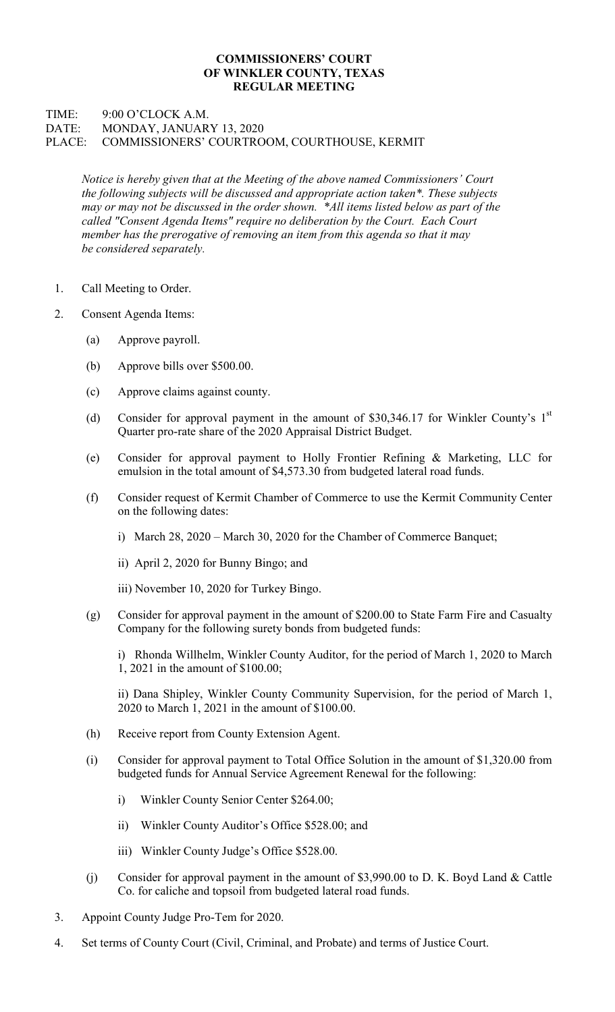## COMMISSIONERS' COURT OF WINKLER COUNTY, TEXAS REGULAR MEETING

## TIME: 9:00 O'CLOCK A.M. DATE: MONDAY, JANUARY 13, 2020 PLACE: COMMISSIONERS' COURTROOM, COURTHOUSE, KERMIT

Notice is hereby given that at the Meeting of the above named Commissioners' Court the following subjects will be discussed and appropriate action taken\*. These subjects may or may not be discussed in the order shown. \*All items listed below as part of the called "Consent Agenda Items" require no deliberation by the Court. Each Court member has the prerogative of removing an item from this agenda so that it may be considered separately.

- 1. Call Meeting to Order.
- 2. Consent Agenda Items:
	- (a) Approve payroll.
	- (b) Approve bills over \$500.00.
	- (c) Approve claims against county.
	- (d) Consider for approval payment in the amount of \$30,346.17 for Winkler County's  $1<sup>st</sup>$ Quarter pro-rate share of the 2020 Appraisal District Budget.
	- (e) Consider for approval payment to Holly Frontier Refining & Marketing, LLC for emulsion in the total amount of \$4,573.30 from budgeted lateral road funds.
	- (f) Consider request of Kermit Chamber of Commerce to use the Kermit Community Center on the following dates:
		- i) March 28, 2020 March 30, 2020 for the Chamber of Commerce Banquet;
		- ii) April 2, 2020 for Bunny Bingo; and
		- iii) November 10, 2020 for Turkey Bingo.
	- (g) Consider for approval payment in the amount of \$200.00 to State Farm Fire and Casualty Company for the following surety bonds from budgeted funds:

 i) Rhonda Willhelm, Winkler County Auditor, for the period of March 1, 2020 to March 1, 2021 in the amount of \$100.00;

 ii) Dana Shipley, Winkler County Community Supervision, for the period of March 1, 2020 to March 1, 2021 in the amount of \$100.00.

- (h) Receive report from County Extension Agent.
- (i) Consider for approval payment to Total Office Solution in the amount of \$1,320.00 from budgeted funds for Annual Service Agreement Renewal for the following:
	- i) Winkler County Senior Center \$264.00;
	- ii) Winkler County Auditor's Office \$528.00; and
	- iii) Winkler County Judge's Office \$528.00.
- (j) Consider for approval payment in the amount of \$3,990.00 to D. K. Boyd Land & Cattle Co. for caliche and topsoil from budgeted lateral road funds.
- 3. Appoint County Judge Pro-Tem for 2020.
- 4. Set terms of County Court (Civil, Criminal, and Probate) and terms of Justice Court.